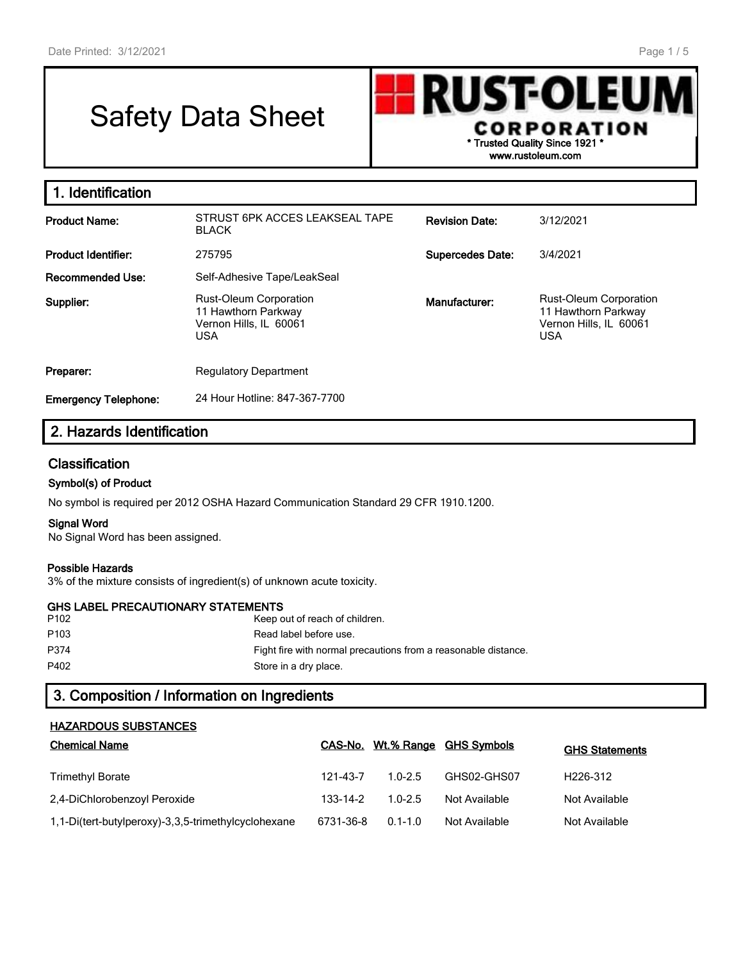# Safety Data Sheet



| . Identification            |                                                                                              |                         |                                                                                              |
|-----------------------------|----------------------------------------------------------------------------------------------|-------------------------|----------------------------------------------------------------------------------------------|
| <b>Product Name:</b>        | STRUST 6PK ACCES LEAKSEAL TAPE<br><b>BLACK</b>                                               | <b>Revision Date:</b>   | 3/12/2021                                                                                    |
| <b>Product Identifier:</b>  | 275795                                                                                       | <b>Supercedes Date:</b> | 3/4/2021                                                                                     |
| <b>Recommended Use:</b>     | Self-Adhesive Tape/LeakSeal                                                                  |                         |                                                                                              |
| Supplier:                   | <b>Rust-Oleum Corporation</b><br>11 Hawthorn Parkway<br>Vernon Hills, IL 60061<br><b>USA</b> | Manufacturer:           | <b>Rust-Oleum Corporation</b><br>11 Hawthorn Parkway<br>Vernon Hills, IL 60061<br><b>USA</b> |
| Preparer:                   | <b>Regulatory Department</b>                                                                 |                         |                                                                                              |
| <b>Emergency Telephone:</b> | 24 Hour Hotline: 847-367-7700                                                                |                         |                                                                                              |

# **2. Hazards Identification**

## **Classification**

#### **Symbol(s) of Product**

No symbol is required per 2012 OSHA Hazard Communication Standard 29 CFR 1910.1200.

#### **Signal Word**

No Signal Word has been assigned.

#### **Possible Hazards**

3% of the mixture consists of ingredient(s) of unknown acute toxicity.

## **GHS LABEL PRECAUTIONARY STATEMENTS**

| P102 | Keep out of reach of children.                                 |
|------|----------------------------------------------------------------|
| P103 | Read label before use.                                         |
| P374 | Fight fire with normal precautions from a reasonable distance. |
| P402 | Store in a dry place.                                          |

# **3. Composition / Information on Ingredients**

#### **HAZARDOUS SUBSTANCES**

| <b>Chemical Name</b>                                |           |             | CAS-No. Wt.% Range GHS Symbols | <b>GHS Statements</b> |
|-----------------------------------------------------|-----------|-------------|--------------------------------|-----------------------|
| <b>Trimethyl Borate</b>                             | 121-43-7  | $1.0 - 2.5$ | GHS02-GHS07                    | H226-312              |
| 2,4-DiChlorobenzoyl Peroxide                        | 133-14-2  | $1.0 - 2.5$ | Not Available                  | Not Available         |
| 1,1-Di(tert-butylperoxy)-3,3,5-trimethylcyclohexane | 6731-36-8 | $0.1 - 1.0$ | Not Available                  | Not Available         |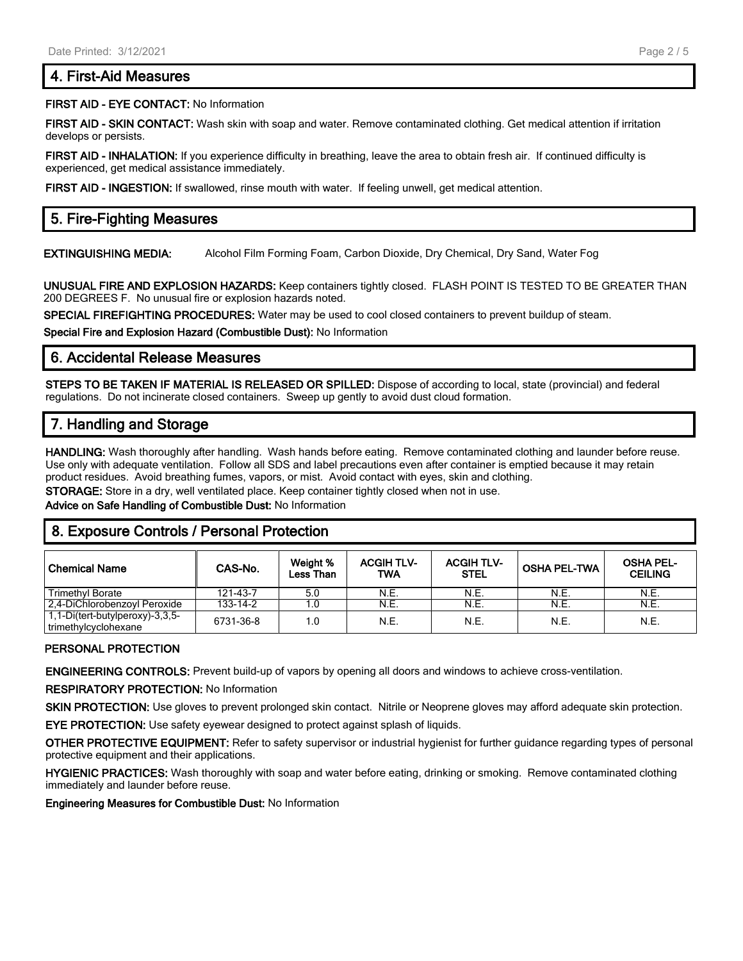## **4. First-Aid Measures**

#### **FIRST AID - EYE CONTACT:** No Information

**FIRST AID - SKIN CONTACT:** Wash skin with soap and water. Remove contaminated clothing. Get medical attention if irritation develops or persists.

**FIRST AID - INHALATION:** If you experience difficulty in breathing, leave the area to obtain fresh air. If continued difficulty is experienced, get medical assistance immediately.

**FIRST AID - INGESTION:** If swallowed, rinse mouth with water. If feeling unwell, get medical attention.

# **5. Fire-Fighting Measures**

**EXTINGUISHING MEDIA:** Alcohol Film Forming Foam, Carbon Dioxide, Dry Chemical, Dry Sand, Water Fog

**UNUSUAL FIRE AND EXPLOSION HAZARDS:** Keep containers tightly closed. FLASH POINT IS TESTED TO BE GREATER THAN 200 DEGREES F. No unusual fire or explosion hazards noted.

**SPECIAL FIREFIGHTING PROCEDURES:** Water may be used to cool closed containers to prevent buildup of steam.

**Special Fire and Explosion Hazard (Combustible Dust):** No Information

## **6. Accidental Release Measures**

**STEPS TO BE TAKEN IF MATERIAL IS RELEASED OR SPILLED:** Dispose of according to local, state (provincial) and federal regulations. Do not incinerate closed containers. Sweep up gently to avoid dust cloud formation.

## **7. Handling and Storage**

**HANDLING:** Wash thoroughly after handling. Wash hands before eating. Remove contaminated clothing and launder before reuse. Use only with adequate ventilation. Follow all SDS and label precautions even after container is emptied because it may retain product residues. Avoid breathing fumes, vapors, or mist. Avoid contact with eyes, skin and clothing.

**STORAGE:** Store in a dry, well ventilated place. Keep container tightly closed when not in use.

**Advice on Safe Handling of Combustible Dust:** No Information

# **8. Exposure Controls / Personal Protection**

| l Chemical Name                                         | CAS-No.   | Weight %<br><b>Less Than</b> | <b>ACGIH TLV-</b><br>TWA | <b>ACGIH TLV-</b><br><b>STEL</b> | <b>OSHA PEL-TWA</b> | <b>OSHA PEL-</b><br><b>CEILING</b> |
|---------------------------------------------------------|-----------|------------------------------|--------------------------|----------------------------------|---------------------|------------------------------------|
| <b>Trimethyl Borate</b>                                 | 121-43-7  | 5.0                          | N.E.                     | N.E.                             | N.E.                | N.E.                               |
| 2.4-DiChlorobenzoyl Peroxide                            | 133-14-2  |                              | N.E.                     | N.E.                             | N.E.                | N.E.                               |
| 1,1-Di(tert-butylperoxy)-3,3,5-<br>trimethylcyclohexane | 6731-36-8 | 1.0                          | N.E.                     | N.E.                             | N.E.                | N.E.                               |

#### **PERSONAL PROTECTION**

**ENGINEERING CONTROLS:** Prevent build-up of vapors by opening all doors and windows to achieve cross-ventilation.

**RESPIRATORY PROTECTION:** No Information

**SKIN PROTECTION:** Use gloves to prevent prolonged skin contact. Nitrile or Neoprene gloves may afford adequate skin protection.

**EYE PROTECTION:** Use safety eyewear designed to protect against splash of liquids.

**OTHER PROTECTIVE EQUIPMENT:** Refer to safety supervisor or industrial hygienist for further guidance regarding types of personal protective equipment and their applications.

**HYGIENIC PRACTICES:** Wash thoroughly with soap and water before eating, drinking or smoking. Remove contaminated clothing immediately and launder before reuse.

**Engineering Measures for Combustible Dust:** No Information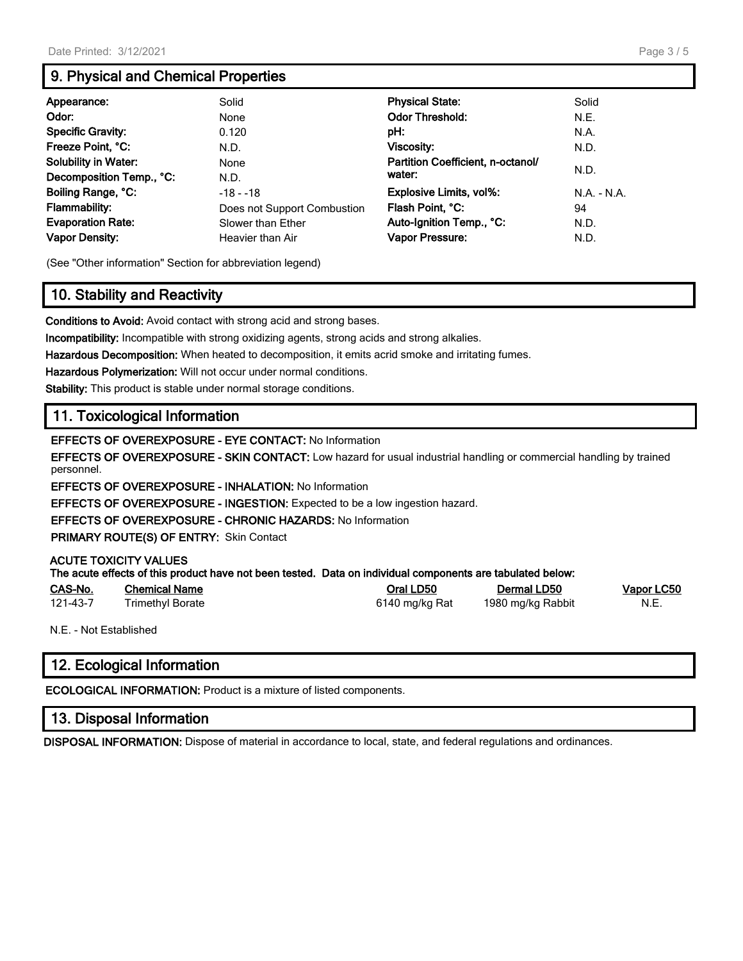# **9. Physical and Chemical Properties**

| Appearance:                 | Solid                       | <b>Physical State:</b>            | Solid         |
|-----------------------------|-----------------------------|-----------------------------------|---------------|
| Odor:                       | None                        | <b>Odor Threshold:</b>            | N.E.          |
| <b>Specific Gravity:</b>    | 0.120                       | pH:                               | N.A.          |
| Freeze Point, °C:           | N.D.                        | Viscosity:                        | N.D.          |
| <b>Solubility in Water:</b> | None                        | Partition Coefficient, n-octanol/ |               |
| Decomposition Temp., °C:    | N.D.                        | water:                            | N.D.          |
| Boiling Range, °C:          | $-18 - 18$                  | Explosive Limits, vol%:           | $N.A. - N.A.$ |
| Flammability:               | Does not Support Combustion | Flash Point, °C:                  | 94            |
| <b>Evaporation Rate:</b>    | Slower than Ether           | Auto-Ignition Temp., °C:          | N.D.          |
| <b>Vapor Density:</b>       | Heavier than Air            | Vapor Pressure:                   | N.D.          |

(See "Other information" Section for abbreviation legend)

# **10. Stability and Reactivity**

**Conditions to Avoid:** Avoid contact with strong acid and strong bases.

**Incompatibility:** Incompatible with strong oxidizing agents, strong acids and strong alkalies.

**Hazardous Decomposition:** When heated to decomposition, it emits acrid smoke and irritating fumes.

**Hazardous Polymerization:** Will not occur under normal conditions.

**Stability:** This product is stable under normal storage conditions.

# **11. Toxicological Information**

**EFFECTS OF OVEREXPOSURE - EYE CONTACT:** No Information

**EFFECTS OF OVEREXPOSURE - SKIN CONTACT:** Low hazard for usual industrial handling or commercial handling by trained personnel.

**EFFECTS OF OVEREXPOSURE - INHALATION:** No Information

**EFFECTS OF OVEREXPOSURE - INGESTION:** Expected to be a low ingestion hazard.

**EFFECTS OF OVEREXPOSURE - CHRONIC HAZARDS:** No Information

**PRIMARY ROUTE(S) OF ENTRY:** Skin Contact

#### **ACUTE TOXICITY VALUES**

|                               | The acute effects of this product have not been tested. Data on individual components are tabulated below: |           |                   |
|-------------------------------|------------------------------------------------------------------------------------------------------------|-----------|-------------------|
| $\bigcap$ $\bigcap$ $\bigcap$ | Absolvat Manas                                                                                             | $Q1$ $R2$ | <b>Demont DEA</b> |

| CAS-No.  | <b>Chemical Name</b>    | Oral LD50      | Dermal LD50       | Vapor LC50 |
|----------|-------------------------|----------------|-------------------|------------|
| 121-43-7 | <b>Frimethyl Borate</b> | 6140 mg/kg Rat | 1980 mg/kg Rabbit | N.E.       |

N.E. - Not Established

# **12. Ecological Information**

**ECOLOGICAL INFORMATION:** Product is a mixture of listed components.

## **13. Disposal Information**

**DISPOSAL INFORMATION:** Dispose of material in accordance to local, state, and federal regulations and ordinances.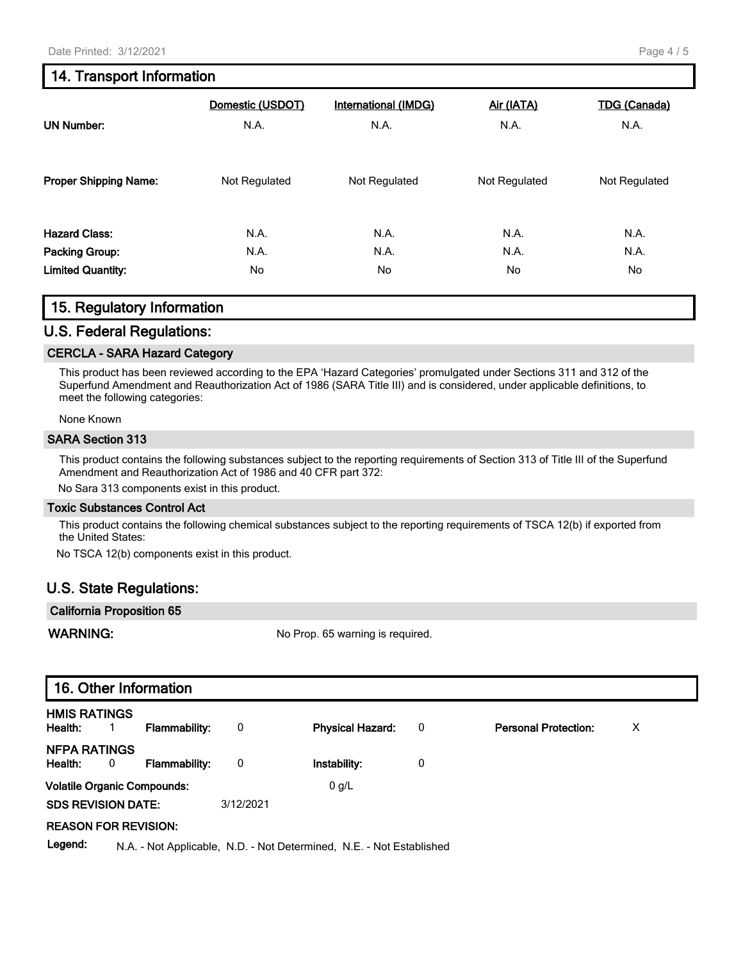# **14. Transport Information**

| <b>UN Number:</b>            | Domestic (USDOT) | <b>International (IMDG)</b> | Air (IATA)    | <b>TDG</b> (Canada) |
|------------------------------|------------------|-----------------------------|---------------|---------------------|
|                              | N.A.             | N.A.                        | N.A.          | N.A.                |
| <b>Proper Shipping Name:</b> | Not Regulated    | Not Regulated               | Not Regulated | Not Regulated       |
| <b>Hazard Class:</b>         | N.A.             | N.A.                        | N.A.          | N.A.                |
| Packing Group:               | N.A.             | N.A.                        | N.A.          | N.A.                |
| <b>Limited Quantity:</b>     | No               | No                          | No            | No.                 |

## **15. Regulatory Information**

## **U.S. Federal Regulations:**

#### **CERCLA - SARA Hazard Category**

This product has been reviewed according to the EPA 'Hazard Categories' promulgated under Sections 311 and 312 of the Superfund Amendment and Reauthorization Act of 1986 (SARA Title III) and is considered, under applicable definitions, to meet the following categories:

None Known

#### **SARA Section 313**

This product contains the following substances subject to the reporting requirements of Section 313 of Title III of the Superfund Amendment and Reauthorization Act of 1986 and 40 CFR part 372:

No Sara 313 components exist in this product.

#### **Toxic Substances Control Act**

This product contains the following chemical substances subject to the reporting requirements of TSCA 12(b) if exported from the United States:

No TSCA 12(b) components exist in this product.

## **U.S. State Regulations:**

| <b>California Proposition 65</b> |                                  |
|----------------------------------|----------------------------------|
| WARNING:                         | No Prop. 65 warning is required. |

|                                    | 16. Other Information |                      |           |                                                                      |   |                             |   |
|------------------------------------|-----------------------|----------------------|-----------|----------------------------------------------------------------------|---|-----------------------------|---|
| <b>HMIS RATINGS</b><br>Health:     | $\mathbf{1}$          | <b>Flammability:</b> | 0         | <b>Physical Hazard:</b>                                              | 0 | <b>Personal Protection:</b> | х |
| <b>NFPA RATINGS</b><br>Health:     | 0                     | <b>Flammability:</b> | 0         | Instability:                                                         | 0 |                             |   |
| <b>Volatile Organic Compounds:</b> |                       |                      |           | 0 g/L                                                                |   |                             |   |
| <b>SDS REVISION DATE:</b>          |                       |                      | 3/12/2021 |                                                                      |   |                             |   |
| <b>REASON FOR REVISION:</b>        |                       |                      |           |                                                                      |   |                             |   |
| Legend:                            |                       |                      |           | N.A. - Not Applicable, N.D. - Not Determined, N.E. - Not Established |   |                             |   |